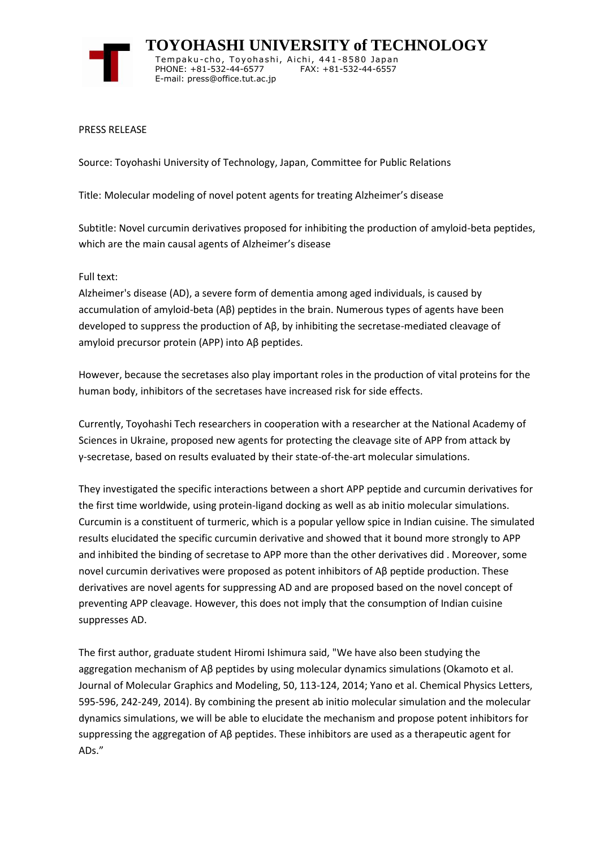

 **TOYOHASHI UNIVERSITY of TECHNOLOGY** Tempaku-cho, Toyohashi, Aichi, 441-8580 Japan PHONE: +81-532-44-6577 FAX: +81-532-44-6557 E-mail: press@office.tut.ac.jp

PRESS RELEASE

Source: Toyohashi University of Technology, Japan, Committee for Public Relations

Title: Molecular modeling of novel potent agents for treating Alzheimer's disease

Subtitle: Novel curcumin derivatives proposed for inhibiting the production of amyloid-beta peptides, which are the main causal agents of Alzheimer's disease

Full text:

Alzheimer's disease (AD), a severe form of dementia among aged individuals, is caused by accumulation of amyloid-beta (Aβ) peptides in the brain. Numerous types of agents have been developed to suppress the production of Aβ, by inhibiting the secretase-mediated cleavage of amyloid precursor protein (APP) into Aβ peptides.

However, because the secretases also play important roles in the production of vital proteins for the human body, inhibitors of the secretases have increased risk for side effects.

Currently, Toyohashi Tech researchers in cooperation with a researcher at the National Academy of Sciences in Ukraine, proposed new agents for protecting the cleavage site of APP from attack by γ-secretase, based on results evaluated by their state-of-the-art molecular simulations.

They investigated the specific interactions between a short APP peptide and curcumin derivatives for the first time worldwide, using protein-ligand docking as well as ab initio molecular simulations. Curcumin is a constituent of turmeric, which is a popular yellow spice in Indian cuisine. The simulated results elucidated the specific curcumin derivative and showed that it bound more strongly to APP and inhibited the binding of secretase to APP more than the other derivatives did . Moreover, some novel curcumin derivatives were proposed as potent inhibitors of Aβ peptide production. These derivatives are novel agents for suppressing AD and are proposed based on the novel concept of preventing APP cleavage. However, this does not imply that the consumption of Indian cuisine suppresses AD.

The first author, graduate student Hiromi Ishimura said, "We have also been studying the aggregation mechanism of Aβ peptides by using molecular dynamics simulations (Okamoto et al. Journal of Molecular Graphics and Modeling, 50, 113-124, 2014; Yano et al. Chemical Physics Letters, 595-596, 242-249, 2014). By combining the present ab initio molecular simulation and the molecular dynamics simulations, we will be able to elucidate the mechanism and propose potent inhibitors for suppressing the aggregation of Aβ peptides. These inhibitors are used as a therapeutic agent for ADs."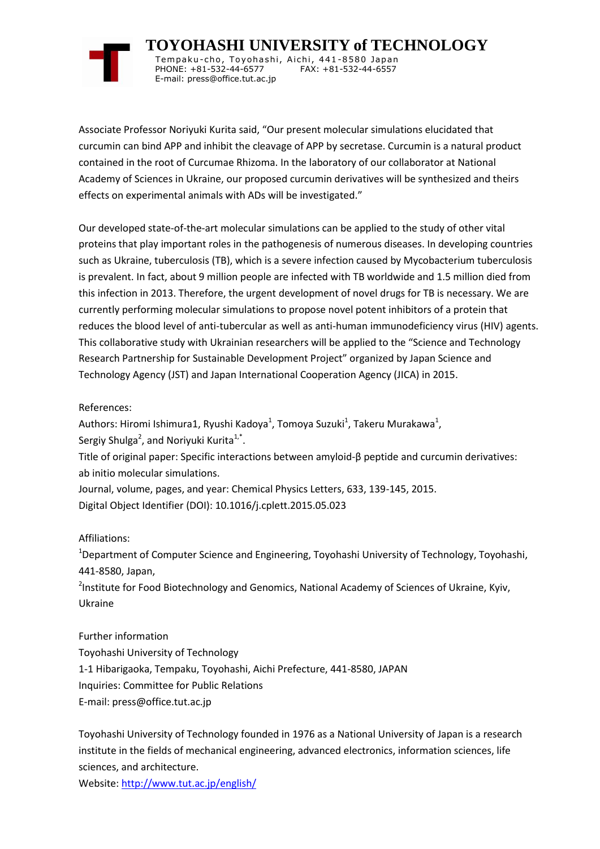

 **TOYOHASHI UNIVERSITY of TECHNOLOGY** Tempaku-cho, Toyohashi, Aichi, 441-8580 Japan PHONE: +81-532-44-6577 FAX: +81-532-44-6557 E-mail: press@office.tut.ac.jp

Associate Professor Noriyuki Kurita said, "Our present molecular simulations elucidated that curcumin can bind APP and inhibit the cleavage of APP by secretase. Curcumin is a natural product contained in the root of Curcumae Rhizoma. In the laboratory of our collaborator at National Academy of Sciences in Ukraine, our proposed curcumin derivatives will be synthesized and theirs effects on experimental animals with ADs will be investigated."

Our developed state-of-the-art molecular simulations can be applied to the study of other vital proteins that play important roles in the pathogenesis of numerous diseases. In developing countries such as Ukraine, tuberculosis (TB), which is a severe infection caused by Mycobacterium tuberculosis is prevalent. In fact, about 9 million people are infected with TB worldwide and 1.5 million died from this infection in 2013. Therefore, the urgent development of novel drugs for TB is necessary. We are currently performing molecular simulations to propose novel potent inhibitors of a protein that reduces the blood level of anti-tubercular as well as anti-human immunodeficiency virus (HIV) agents. This collaborative study with Ukrainian researchers will be applied to the "Science and Technology Research Partnership for Sustainable Development Project" organized by Japan Science and Technology Agency (JST) and Japan International Cooperation Agency (JICA) in 2015.

## References:

Authors: Hiromi Ishimura1, Ryushi Kadoya<sup>1</sup>, Tomoya Suzuki<sup>1</sup>, Takeru Murakawa<sup>1</sup>, Sergiy Shulga<sup>2</sup>, and Noriyuki Kurita<sup>1,\*</sup>.

Title of original paper: Specific interactions between amyloid-β peptide and curcumin derivatives: ab initio molecular simulations.

Journal, volume, pages, and year: Chemical Physics Letters, 633, 139-145, 2015. Digital Object Identifier (DOI): 10.1016/j.cplett.2015.05.023

## Affiliations:

<sup>1</sup>Department of Computer Science and Engineering, Toyohashi University of Technology, Toyohashi, 441-8580, Japan,

<sup>2</sup>Institute for Food Biotechnology and Genomics, National Academy of Sciences of Ukraine, Kyiv, Ukraine

Further information Toyohashi University of Technology 1-1 Hibarigaoka, Tempaku, Toyohashi, Aichi Prefecture, 441-8580, JAPAN Inquiries: Committee for Public Relations E-mail: press@office.tut.ac.jp

Toyohashi University of Technology founded in 1976 as a National University of Japan is a research institute in the fields of mechanical engineering, advanced electronics, information sciences, life sciences, and architecture.

Website[: http://www.tut.ac.jp/english/](https://www.tut.ac.jp/english/)